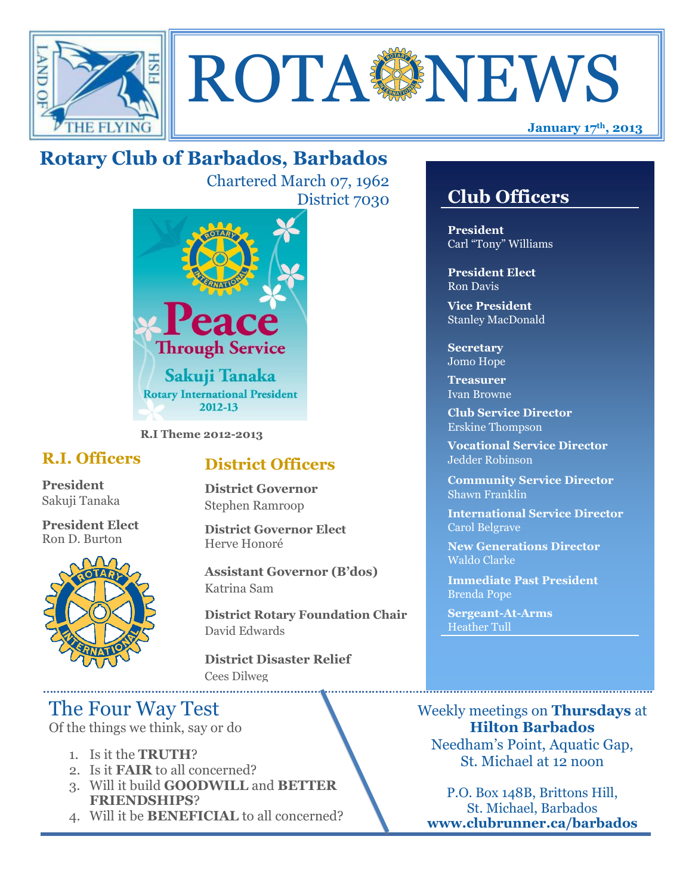



# **Rotary Club of Barbados, Barbados**

Chartered March 07, 1962 District 7030



**R.I Theme 2012-2013**

## **R.I. Officers**

**President**  Sakuji Tanaka

**President Elect** Ron D. Burton



## **District Officers**

**District Governor** Stephen Ramroop

**District Governor Elect** Herve Honoré

**Assistant Governor (B'dos)** Katrina Sam

**District Rotary Foundation Chair** David Edwards

**District Disaster Relief** Cees Dilweg

# The Four Way Test

Of the things we think, say or do

- 1. Is it the **TRUTH**?
- 2. Is it **FAIR** to all concerned?
- 3. Will it build **GOODWILL** and **BETTER FRIENDSHIPS**?
- 4. Will it be **BENEFICIAL** to all concerned?

# **Club Officers**

**Club Officers** 

**President** Carl "Tony" Williams

**President Elect** Ron Davis

**Vice President** Stanley MacDonald

**Secretary** Jomo Hope

**Treasurer** Ivan Browne

**Club Service Director** Erskine Thompson

**Vocational Service Director** Jedder Robinson

**Community Service Director** Shawn Franklin

**International Service Director** Carol Belgrave

**New Generations Director** Waldo Clarke

**Immediate Past President** Brenda Pope

**Sergeant-At-Arms** Heather Tull

Weekly meetings on **Thursdays** at **Hilton Barbados** Needham's Point, Aquatic Gap, St. Michael at 12 noon

P.O. Box 148B, Brittons Hill, St. Michael, Barbados **www.clubrunner.ca/barbados**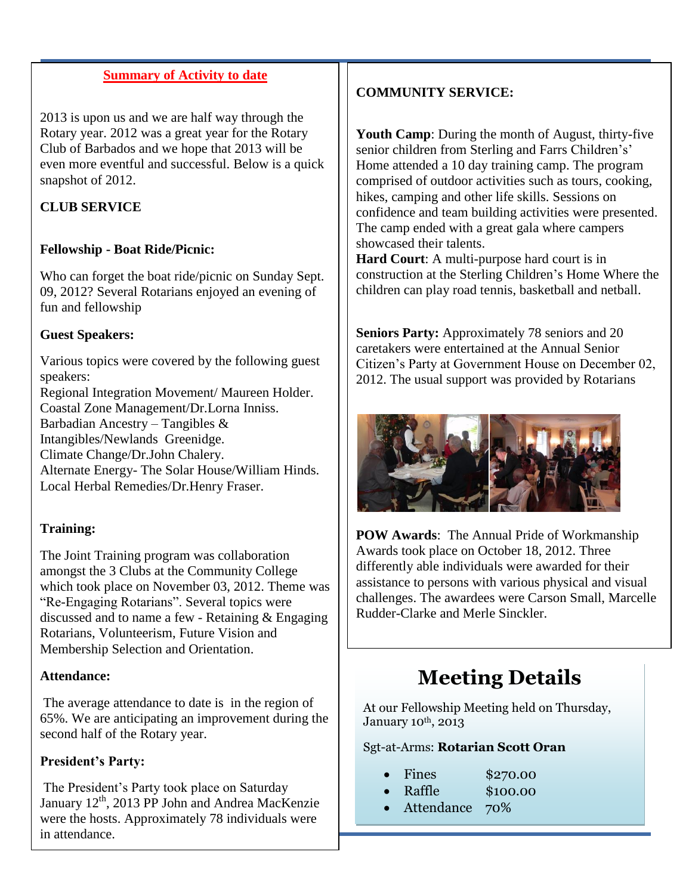#### **Summary of Activity to date**

2013 is upon us and we are half way through the Rotary year. 2012 was a great year for the Rotary Club of Barbados and we hope that 2013 will be even more eventful and successful. Below is a quick snapshot of 2012.

#### **CLUB SERVICE**

#### **Fellowship - Boat Ride/Picnic:**

Who can forget the boat ride/picnic on Sunday Sept. 09, 2012? Several Rotarians enjoyed an evening of fun and fellowship

#### **Guest Speakers:**

Various topics were covered by the following guest speakers: Regional Integration Movement/ Maureen Holder. Coastal Zone Management/Dr.Lorna Inniss. Barbadian Ancestry – Tangibles & Intangibles/Newlands Greenidge. Climate Change/Dr.John Chalery. Alternate Energy- The Solar House/William Hinds. Local Herbal Remedies/Dr.Henry Fraser.

#### **Training:**

The Joint Training program was collaboration amongst the 3 Clubs at the Community College which took place on November 03, 2012. Theme was "Re-Engaging Rotarians". Several topics were discussed and to name a few - Retaining & Engaging Rotarians, Volunteerism, Future Vision and Membership Selection and Orientation.

#### **Attendance:**

The average attendance to date is in the region of 65%. We are anticipating an improvement during the second half of the Rotary year.

#### **President's Party:**

The President's Party took place on Saturday January 12<sup>th</sup>, 2013 PP John and Andrea MacKenzie were the hosts. Approximately 78 individuals were in attendance.

### **COMMUNITY SERVICE:**

**Youth Camp**: During the month of August, thirty-five senior children from Sterling and Farrs Children's' Home attended a 10 day training camp. The program comprised of outdoor activities such as tours, cooking, hikes, camping and other life skills. Sessions on confidence and team building activities were presented. The camp ended with a great gala where campers showcased their talents.

**Hard Court**: A multi-purpose hard court is in construction at the Sterling Children's Home Where the children can play road tennis, basketball and netball.

**Seniors Party:** Approximately 78 seniors and 20 caretakers were entertained at the Annual Senior Citizen's Party at Government House on December 02, 2012. The usual support was provided by Rotarians



**POW Awards**: The Annual Pride of Workmanship Awards took place on October 18, 2012. Three differently able individuals were awarded for their assistance to persons with various physical and visual challenges. The awardees were Carson Small, Marcelle Rudder-Clarke and Merle Sinckler.

# **Meeting Details**

At our Fellowship Meeting held on Thursday, January 10<sup>th</sup>, 2013

#### Sgt-at-Arms: **Rotarian Scott Oran**

- Fines \$270.00
- Raffle \$100.00
- Attendance 70%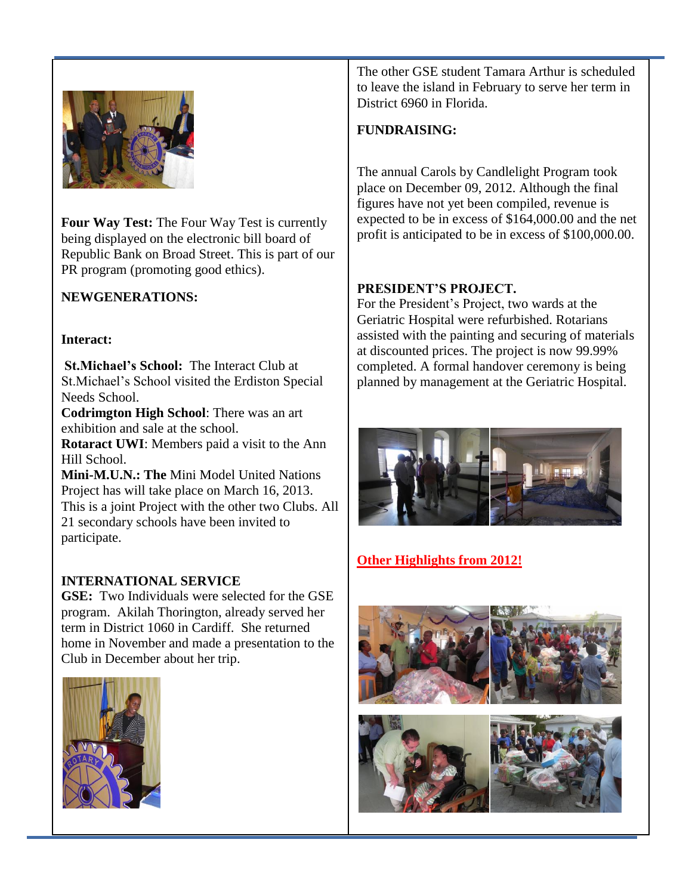

**Four Way Test:** The Four Way Test is currently being displayed on the electronic bill board of Republic Bank on Broad Street. This is part of our PR program (promoting good ethics).

#### **NEWGENERATIONS:**

#### **Interact:**

**St.Michael's School:** The Interact Club at St.Michael's School visited the Erdiston Special Needs School.

**Codrimgton High School**: There was an art exhibition and sale at the school.

**Rotaract UWI**: Members paid a visit to the Ann Hill School.

**Mini-M.U.N.: The** Mini Model United Nations Project has will take place on March 16, 2013. This is a joint Project with the other two Clubs. All 21 secondary schools have been invited to participate.

#### **INTERNATIONAL SERVICE**

**GSE:** Two Individuals were selected for the GSE program. Akilah Thorington, already served her term in District 1060 in Cardiff. She returned home in November and made a presentation to the Club in December about her trip.



The other GSE student Tamara Arthur is scheduled to leave the island in February to serve her term in District 6960 in Florida.

#### **FUNDRAISING:**

The annual Carols by Candlelight Program took place on December 09, 2012. Although the final figures have not yet been compiled, revenue is expected to be in excess of \$164,000.00 and the net profit is anticipated to be in excess of \$100,000.00.

#### **PRESIDENT'S PROJECT.**

For the President's Project, two wards at the Geriatric Hospital were refurbished. Rotarians assisted with the painting and securing of materials at discounted prices. The project is now 99.99% completed. A formal handover ceremony is being planned by management at the Geriatric Hospital.



### **Other Highlights from 2012!**